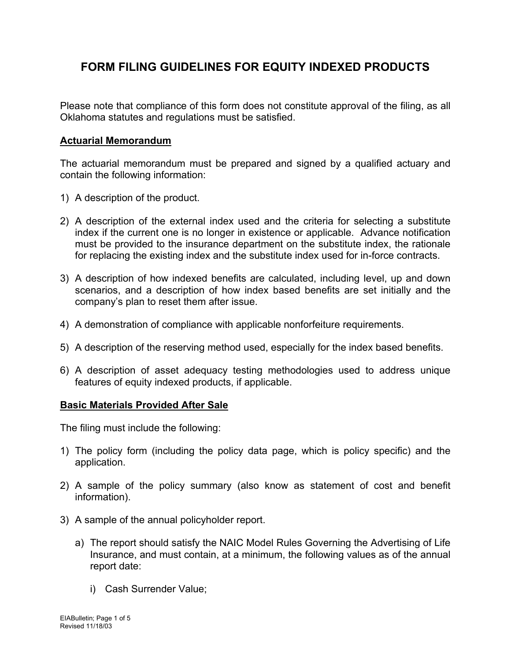# **FORM FILING GUIDELINES FOR EQUITY INDEXED PRODUCTS**

Please note that compliance of this form does not constitute approval of the filing, as all Oklahoma statutes and regulations must be satisfied.

# **Actuarial Memorandum**

The actuarial memorandum must be prepared and signed by a qualified actuary and contain the following information:

- 1) A description of the product.
- 2) A description of the external index used and the criteria for selecting a substitute index if the current one is no longer in existence or applicable. Advance notification must be provided to the insurance department on the substitute index, the rationale for replacing the existing index and the substitute index used for in-force contracts.
- 3) A description of how indexed benefits are calculated, including level, up and down scenarios, and a description of how index based benefits are set initially and the company's plan to reset them after issue.
- 4) A demonstration of compliance with applicable nonforfeiture requirements.
- 5) A description of the reserving method used, especially for the index based benefits.
- 6) A description of asset adequacy testing methodologies used to address unique features of equity indexed products, if applicable.

#### **Basic Materials Provided After Sale**

The filing must include the following:

- 1) The policy form (including the policy data page, which is policy specific) and the application.
- 2) A sample of the policy summary (also know as statement of cost and benefit information).
- 3) A sample of the annual policyholder report.
	- a) The report should satisfy the NAIC Model Rules Governing the Advertising of Life Insurance, and must contain, at a minimum, the following values as of the annual report date:
		- i) Cash Surrender Value;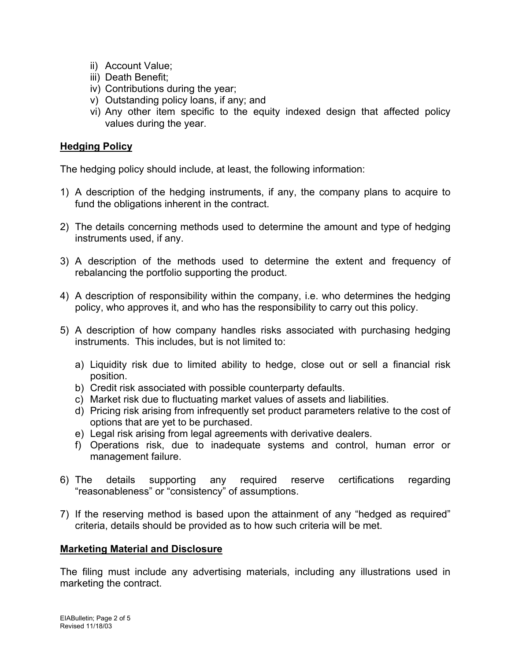- ii) Account Value;
- iii) Death Benefit;
- iv) Contributions during the year;
- v) Outstanding policy loans, if any; and
- vi) Any other item specific to the equity indexed design that affected policy values during the year.

## **Hedging Policy**

The hedging policy should include, at least, the following information:

- 1) A description of the hedging instruments, if any, the company plans to acquire to fund the obligations inherent in the contract.
- 2) The details concerning methods used to determine the amount and type of hedging instruments used, if any.
- 3) A description of the methods used to determine the extent and frequency of rebalancing the portfolio supporting the product.
- 4) A description of responsibility within the company, i.e. who determines the hedging policy, who approves it, and who has the responsibility to carry out this policy.
- 5) A description of how company handles risks associated with purchasing hedging instruments. This includes, but is not limited to:
	- a) Liquidity risk due to limited ability to hedge, close out or sell a financial risk position.
	- b) Credit risk associated with possible counterparty defaults.
	- c) Market risk due to fluctuating market values of assets and liabilities.
	- d) Pricing risk arising from infrequently set product parameters relative to the cost of options that are yet to be purchased.
	- e) Legal risk arising from legal agreements with derivative dealers.
	- f) Operations risk, due to inadequate systems and control, human error or management failure.
- 6) The details supporting any required reserve certifications regarding "reasonableness" or "consistency" of assumptions.
- 7) If the reserving method is based upon the attainment of any "hedged as required" criteria, details should be provided as to how such criteria will be met.

# **Marketing Material and Disclosure**

The filing must include any advertising materials, including any illustrations used in marketing the contract.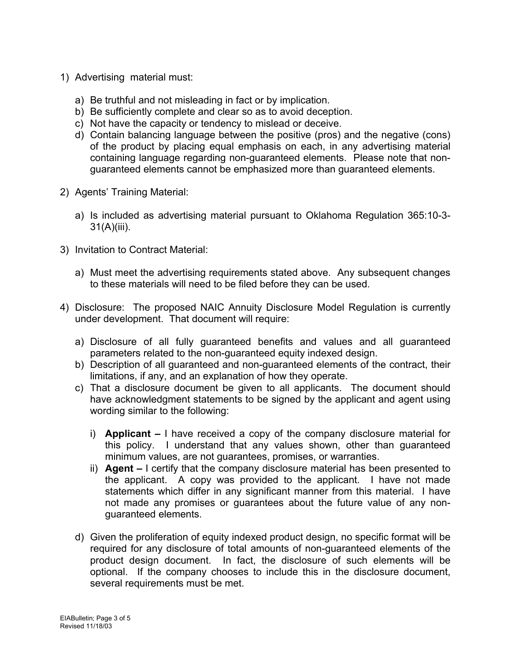- 1) Advertising material must:
	- a) Be truthful and not misleading in fact or by implication.
	- b) Be sufficiently complete and clear so as to avoid deception.
	- c) Not have the capacity or tendency to mislead or deceive.
	- d) Contain balancing language between the positive (pros) and the negative (cons) of the product by placing equal emphasis on each, in any advertising material containing language regarding non-guaranteed elements. Please note that nonguaranteed elements cannot be emphasized more than guaranteed elements.
- 2) Agents' Training Material:
	- a) Is included as advertising material pursuant to Oklahoma Regulation 365:10-3- 31(A)(iii).
- 3) Invitation to Contract Material:
	- a) Must meet the advertising requirements stated above. Any subsequent changes to these materials will need to be filed before they can be used.
- 4) Disclosure: The proposed NAIC Annuity Disclosure Model Regulation is currently under development. That document will require:
	- a) Disclosure of all fully guaranteed benefits and values and all guaranteed parameters related to the non-guaranteed equity indexed design.
	- b) Description of all guaranteed and non-guaranteed elements of the contract, their limitations, if any, and an explanation of how they operate.
	- c) That a disclosure document be given to all applicants. The document should have acknowledgment statements to be signed by the applicant and agent using wording similar to the following:
		- i) **Applicant** I have received a copy of the company disclosure material for this policy. I understand that any values shown, other than guaranteed minimum values, are not guarantees, promises, or warranties.
		- ii) **Agent** I certify that the company disclosure material has been presented to the applicant. A copy was provided to the applicant. I have not made statements which differ in any significant manner from this material. I have not made any promises or guarantees about the future value of any nonguaranteed elements.
	- d) Given the proliferation of equity indexed product design, no specific format will be required for any disclosure of total amounts of non-guaranteed elements of the product design document. In fact, the disclosure of such elements will be optional. If the company chooses to include this in the disclosure document, several requirements must be met.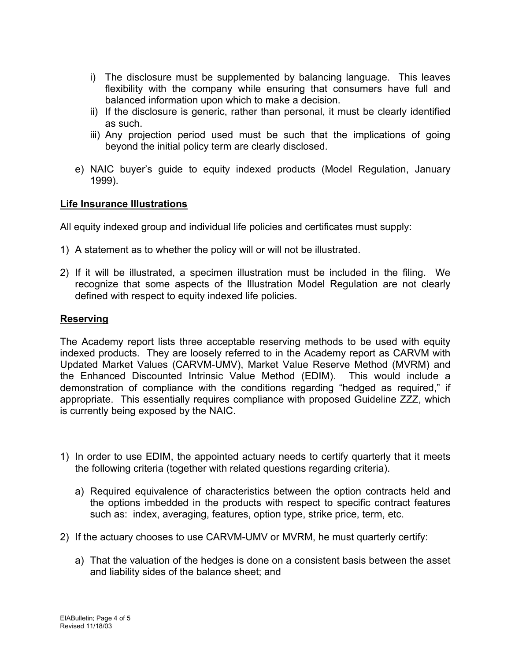- i) The disclosure must be supplemented by balancing language. This leaves flexibility with the company while ensuring that consumers have full and balanced information upon which to make a decision.
- ii) If the disclosure is generic, rather than personal, it must be clearly identified as such.
- iii) Any projection period used must be such that the implications of going beyond the initial policy term are clearly disclosed.
- e) NAIC buyer's guide to equity indexed products (Model Regulation, January 1999).

#### **Life Insurance Illustrations**

All equity indexed group and individual life policies and certificates must supply:

- 1) A statement as to whether the policy will or will not be illustrated.
- 2) If it will be illustrated, a specimen illustration must be included in the filing. We recognize that some aspects of the Illustration Model Regulation are not clearly defined with respect to equity indexed life policies.

# **Reserving**

The Academy report lists three acceptable reserving methods to be used with equity indexed products. They are loosely referred to in the Academy report as CARVM with Updated Market Values (CARVM-UMV), Market Value Reserve Method (MVRM) and the Enhanced Discounted Intrinsic Value Method (EDIM). This would include a demonstration of compliance with the conditions regarding "hedged as required," if appropriate. This essentially requires compliance with proposed Guideline ZZZ, which is currently being exposed by the NAIC.

- 1) In order to use EDIM, the appointed actuary needs to certify quarterly that it meets the following criteria (together with related questions regarding criteria).
	- a) Required equivalence of characteristics between the option contracts held and the options imbedded in the products with respect to specific contract features such as: index, averaging, features, option type, strike price, term, etc.
- 2) If the actuary chooses to use CARVM-UMV or MVRM, he must quarterly certify:
	- a) That the valuation of the hedges is done on a consistent basis between the asset and liability sides of the balance sheet; and